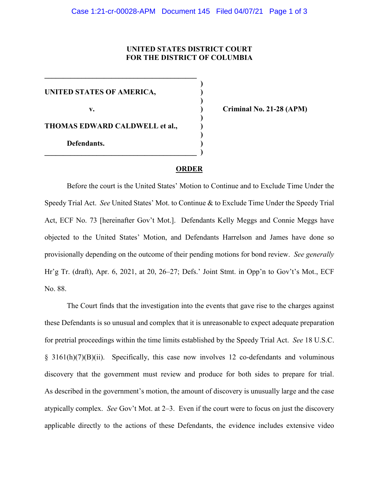## **UNITED STATES DISTRICT COURT FOR THE DISTRICT OF COLUMBIA**

**)**

**)**

**)**

**)**

**UNITED STATES OF AMERICA, )**

**THOMAS EDWARD CALDWELL et al., )**

**\_\_\_\_\_\_\_\_\_\_\_\_\_\_\_\_\_\_\_\_\_\_\_\_\_\_\_\_\_\_\_\_\_\_\_\_\_\_\_\_\_** 

**\_\_\_\_\_\_\_\_\_\_\_\_\_\_\_\_\_\_\_\_\_\_\_\_\_\_\_\_\_\_\_\_\_\_\_\_\_\_\_\_\_ )**

**Defendants. )**

**v. ) Criminal No. 21-28 (APM)**

## **ORDER**

Before the court is the United States' Motion to Continue and to Exclude Time Under the Speedy Trial Act. *See* United States' Mot. to Continue & to Exclude Time Under the Speedy Trial Act, ECF No. 73 [hereinafter Gov't Mot.]. Defendants Kelly Meggs and Connie Meggs have objected to the United States' Motion, and Defendants Harrelson and James have done so provisionally depending on the outcome of their pending motions for bond review. *See generally* Hr'g Tr. (draft), Apr. 6, 2021, at 20, 26–27; Defs.' Joint Stmt. in Opp'n to Gov't's Mot., ECF No. 88.

The Court finds that the investigation into the events that gave rise to the charges against these Defendants is so unusual and complex that it is unreasonable to expect adequate preparation for pretrial proceedings within the time limits established by the Speedy Trial Act. *See* 18 U.S.C. § 3161(h)(7)(B)(ii). Specifically, this case now involves 12 co-defendants and voluminous discovery that the government must review and produce for both sides to prepare for trial. As described in the government's motion, the amount of discovery is unusually large and the case atypically complex. *See* Gov't Mot. at 2–3. Even if the court were to focus on just the discovery applicable directly to the actions of these Defendants, the evidence includes extensive video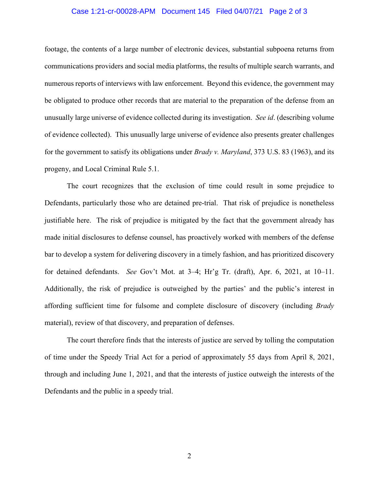## Case 1:21-cr-00028-APM Document 145 Filed 04/07/21 Page 2 of 3

footage, the contents of a large number of electronic devices, substantial subpoena returns from communications providers and social media platforms, the results of multiple search warrants, and numerous reports of interviews with law enforcement. Beyond this evidence, the government may be obligated to produce other records that are material to the preparation of the defense from an unusually large universe of evidence collected during its investigation. *See id*. (describing volume of evidence collected). This unusually large universe of evidence also presents greater challenges for the government to satisfy its obligations under *Brady v. Maryland*, 373 U.S. 83 (1963), and its progeny, and Local Criminal Rule 5.1.

The court recognizes that the exclusion of time could result in some prejudice to Defendants, particularly those who are detained pre-trial. That risk of prejudice is nonetheless justifiable here. The risk of prejudice is mitigated by the fact that the government already has made initial disclosures to defense counsel, has proactively worked with members of the defense bar to develop a system for delivering discovery in a timely fashion, and has prioritized discovery for detained defendants. *See* Gov't Mot. at 3–4; Hr'g Tr. (draft), Apr. 6, 2021, at 10–11. Additionally, the risk of prejudice is outweighed by the parties' and the public's interest in affording sufficient time for fulsome and complete disclosure of discovery (including *Brady* material), review of that discovery, and preparation of defenses.

The court therefore finds that the interests of justice are served by tolling the computation of time under the Speedy Trial Act for a period of approximately 55 days from April 8, 2021, through and including June 1, 2021, and that the interests of justice outweigh the interests of the Defendants and the public in a speedy trial.